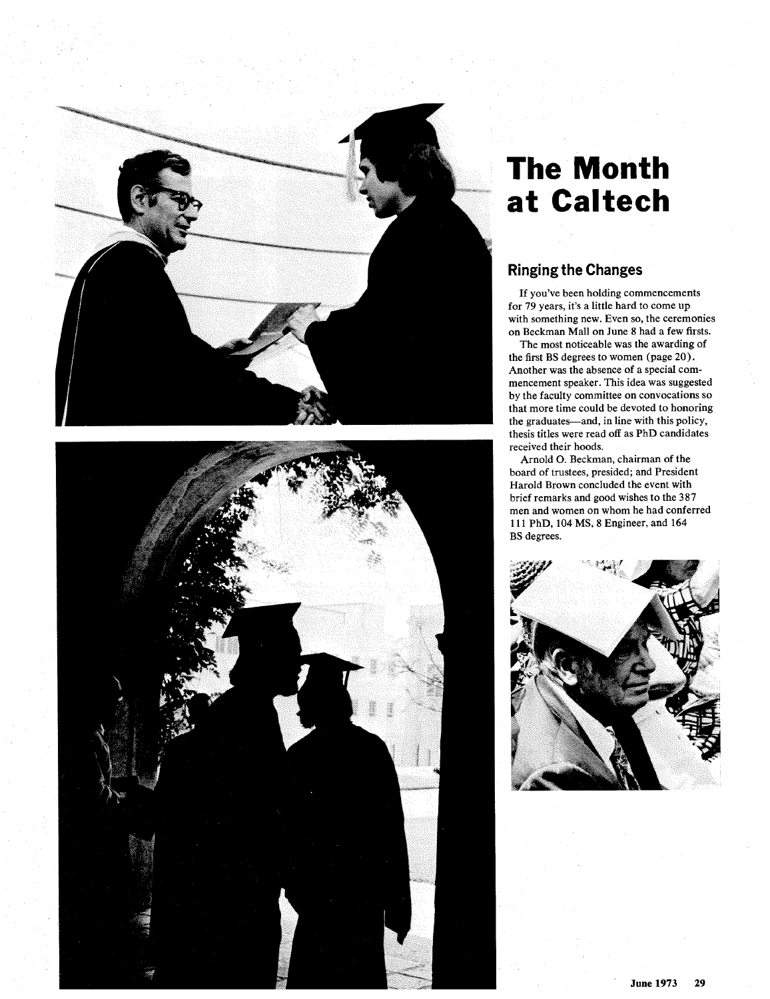



# **The Month at Caltech**

# **Ringing the Changes**

If you've been holding commencements for 79 years, it's a little hard to come up with something new. Even so, the ceremonies on Beckman Mall on June 8 had a few firsts.

The most noticeable was the awarding of the first BS degrees to women (page 20). Another was the absence of a special commencement speaker. This idea was suggested by the faculty committee on convocations so that more time could be devoted to honoring the graduates—and, in line with this policy, hesis titles were read off as PhD candidates received their hoods.

Arnold 0. Beckman, chairman of the board of trustees, presided; and President Harold Brown concluded the event with brief remarks and good wishes to the **387**  men and women on whom he had conferred **11** 1 PhD, **104** MS, **8** Engineer, and **164**  BS degrees.

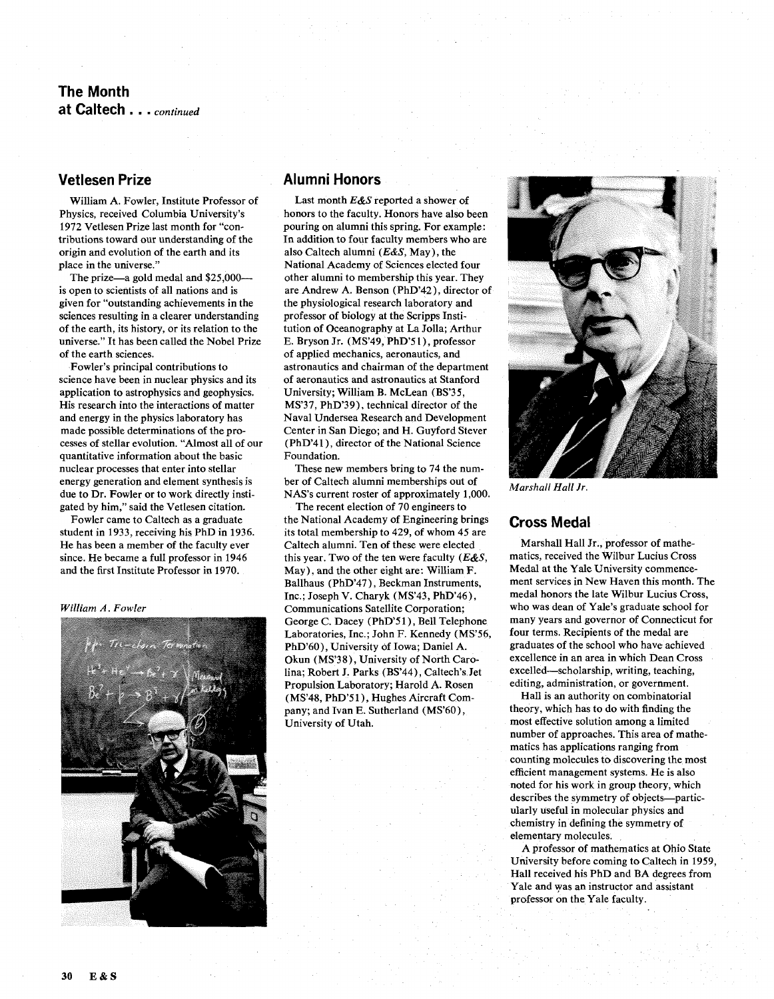# **The Month at Caltech** . . . *continued*

## **Vetlesen Prize**

William A. Fowler, Institute Professor of Physics, received Columbia University's 1972 Vetlesen Prize last month for "contributions toward our understanding of the origin and evolution of the earth and its place in the universe."

The prize—a gold medal and \$25,000is open to scientists of all nations and is given for "outstanding achievements in the sciences resulting in a clearer understanding of the earth, its history, or its relation to the universe." It has been called the Nobel Prize of the earth sciences.

Fowler's principal contributions to science have been in nuclear physics and its application to astrophysics and geophysics. His research into the interactions of matter and energy in the physics laboratory has made possible determinations of the processes of stellar evolution. "Almost all of our quantitative information about the basic nuclear processes that enter into stellar energy generation and element synthesis is due to Dr. Fowler or to work directly instigated by him," said the Vetlesen citation.

Fowler came to Caltech as a graduate student in 1933, receiving his PhD in 1936. He has been a member of the faculty ever since. He became a full professor in 1946 and the first Institute Professor in 1970.

*William A. Fowler* 



#### **Alumni Honors**

Last month *E&S* reported a shower of honors to the faculty. Honors have also been pouring on alumni this spring. For example : In addition to four faculty members who are also Caltech alumni *(E&S,* May), the National Academy of Sciences elected four other alumni to membership this year. They are Andrew A. Benson (PhD'42), director of the physiological research laboratory and professor of biology at the Scripps Institution of Oceanography at La Jolla; Arthur E. Bryson Jr. (MS'49, PhD'51), professor of applied mechanics, aeronautics, and astronautics and chairman of the department of aeronautics and astronautics at Stanford University; William B. McLean (BS'35, MS'37, PhD'39), technical director of the Naval Undersea Research and Development Center in San Diego; and H. Guyford Stever (PhD'41), director of the National Science Foundation.

These new members bring to 74 the number of Caltech alumni memberships out of NAS's current roster of approximately 1,000.

The recent election of 70 engineers to the National Academy of Engineering brings its total membership to 429, of whom 45 are Caltech alumni. Ten of these were elected this year. Two of the ten were faculty **(E&S,**  May), and the other eight are: William F. Ballhaus (PhD'47), Beckman Instruments, Inc.; Joseph V. Charyk (MS'43, PhD'46), Communications Satellite Corporation; George C. Dacey (PhD'51), Bell Telephone Laboratories, Inc.; John F. Kennedy (MS'56, PhD'60), University of Iowa; Daniel A. Okun (MS'38), University of North Carolina; Robert J. Parks (BS'44), Caltech's Jet Propulsion Laboratory; Harold A. Rosen (MS'48, PhD'51), Hughes Aircraft Company; and Ivan E. Sutherland (MS'60), University of Utah.



*Marshall Hall Jr.* 

### **Cross Medal**

Marshall Hall Jr., professor of mathematics, received the Wilbur Lucius Cross Medal at the Yale University commencement services in New Haven this month. The medal honors the late Wilbur Lucius Cross, who was dean of Yale's graduate school for many years and governor of Connecticut for four terms. Recipients of the medal are graduates of the school who have achieved excellence in an area in which Dean Cross excelled-scholarship, writing, teaching, editing, administration, or government.

Hall is an authority on combinatorial theory, which has to do with finding the most effective solution among a limited number of approaches. This area of mathematics has applications ranging from counting molecules to discovering the most efficient management systems. He is also noted for his work in group theory, which describes the symmetry of objects-particularly useful in molecular physics and chemistry in defining the symmetry of elementary molecules.

A professor of mathematics at Ohio State University before coming to Caltech in 1959, Hall received his PhD and BA degrees from Yale and was an instructor and assistant professor on the Yale faculty.